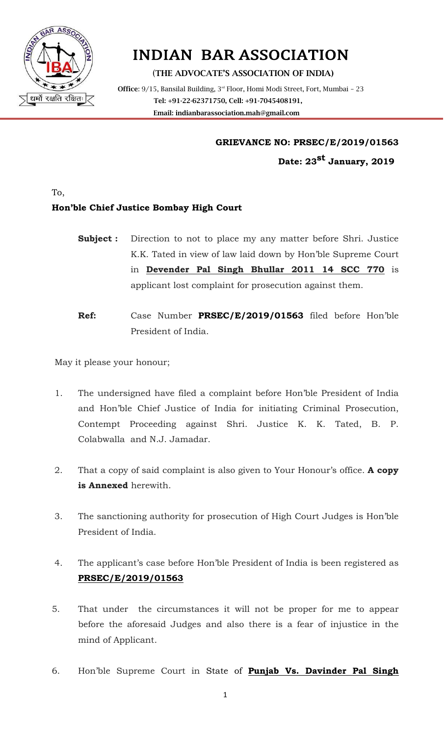

# INDIAN BAR ASSOCIATION

(**THE ADVOCATE'S ASSOCIATION OF INDIA)**

Office: 9/15, Bansilal Building, 3<sup>rd</sup> Floor, Homi Modi Street, Fort, Mumbai - 23 **Tel: +91-22-62371750, Cell: +91-7045408191, Email: [indianbarassociation.mah@gmail.com](mailto:indianbarassociation.mah@gmail.com)**

#### **GRIEVANCE NO: PRSEC/E/2019/01563**

**Date: 23st January, 2019**

To,

### **Hon'ble Chief Justice Bombay High Court**

- **Subject :** Direction to not to place my any matter before Shri. Justice K.K. Tated in view of law laid down by Hon'ble Supreme Court in **Devender Pal Singh Bhullar 2011 14 SCC 770** is applicant lost complaint for prosecution against them.
- **Ref:** Case Number **PRSEC/E/2019/01563** filed before Hon'ble President of India.

May it please your honour;

- 1. The undersigned have filed a complaint before Hon'ble President of India and Hon'ble Chief Justice of India for initiating Criminal Prosecution, Contempt Proceeding against Shri. Justice K. K. Tated, B. P. Colabwalla and N.J. Jamadar.
- 2. That a copy of said complaint is also given to Your Honour's office. **A copy is Annexed** herewith.
- 3. The sanctioning authority for prosecution of High Court Judges is Hon'ble President of India.
- 4. The applicant's case before Hon'ble President of India is been registered as **PRSEC/E/2019/01563**
- 5. That under the circumstances it will not be proper for me to appear before the aforesaid Judges and also there is a fear of injustice in the mind of Applicant.
- 6. Hon'ble Supreme Court in State of **Punjab Vs. Davinder Pal Singh**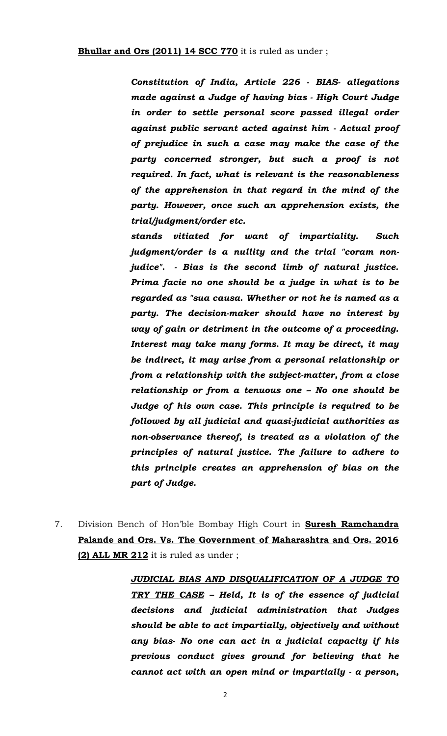*Constitution of India, Article 226 - BIAS- allegations made against a Judge of having bias - High Court Judge in order to settle personal score passed illegal order against public servant acted against him - Actual proof of prejudice in such a case may make the case of the party concerned stronger, but such a proof is not required. In fact, what is relevant is the reasonableness of the apprehension in that regard in the mind of the party. However, once such an apprehension exists, the trial/judgment/order etc.*

*stands vitiated for want of impartiality. Such judgment/order is a nullity and the trial "coram nonjudice". - Bias is the second limb of natural justice. Prima facie no one should be a judge in what is to be regarded as "sua causa. Whether or not he is named as a party. The decision-maker should have no interest by way of gain or detriment in the outcome of a proceeding. Interest may take many forms. It may be direct, it may be indirect, it may arise from a personal relationship or from a relationship with the subject-matter, from a close relationship or from a tenuous one – No one should be Judge of his own case. This principle is required to be followed by all judicial and quasi-judicial authorities as non-observance thereof, is treated as a violation of the principles of natural justice. The failure to adhere to this principle creates an apprehension of bias on the part of Judge.*

7. Division Bench of Hon'ble Bombay High Court in **Suresh Ramchandra Palande and Ors. Vs. The Government of Maharashtra and Ors. 2016 (2) ALL MR 212** it is ruled as under ;

> *JUDICIAL BIAS AND DISQUALIFICATION OF A JUDGE TO TRY THE CASE – Held, It is of the essence of judicial decisions and judicial administration that Judges should be able to act impartially, objectively and without any bias- No one can act in a judicial capacity if his previous conduct gives ground for believing that he cannot act with an open mind or impartially - a person,*

> > 2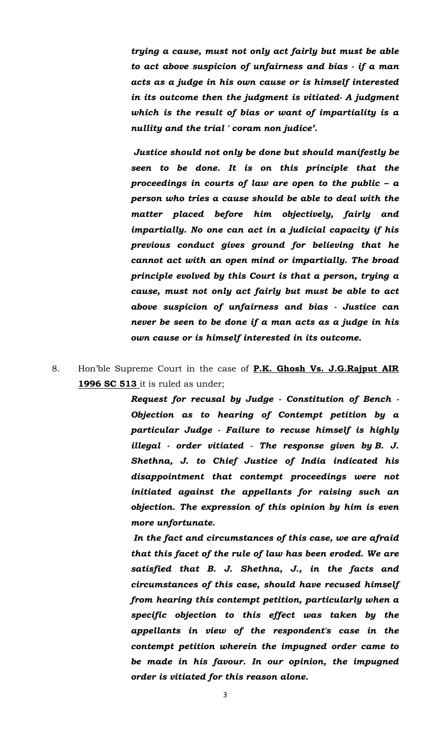*trying a cause, must not only act fairly but must be able to act above suspicion of unfairness and bias - if a man acts as a judge in his own cause or is himself interested in its outcome then the judgment is vitiated- A judgment which is the result of bias or want of impartiality is a nullity and the trial ' coram non judice'.* 

*Justice should not only be done but should manifestly be seen to be done. It is on this principle that the proceedings in courts of law are open to the public – a person who tries a cause should be able to deal with the matter placed before him objectively, fairly and impartially. No one can act in a judicial capacity if his previous conduct gives ground for believing that he cannot act with an open mind or impartially. The broad principle evolved by this Court is that a person, trying a cause, must not only act fairly but must be able to act above suspicion of unfairness and bias - Justice can never be seen to be done if a man acts as a judge in his own cause or is himself interested in its outcome.*

# 8. Hon'ble Supreme Court in the case of **P.K. Ghosh Vs. J.G.Rajput AIR 1996 SC 513** it is ruled as under;

*Request for recusal by Judge - Constitution of Bench - Objection as to hearing of Contempt petition by a particular Judge - Failure to recuse himself is highly illegal - order vitiated - The response given by B. J. Shethna, J. to Chief Justice of India indicated his disappointment that contempt proceedings were not initiated against the appellants for raising such an objection. The expression of this opinion by him is even more unfortunate.*

*In the fact and circumstances of this case, we are afraid that this facet of the rule of law has been eroded. We are satisfied that B. J. Shethna, J., in the facts and circumstances of this case, should have recused himself from hearing this contempt petition, particularly when a specific objection to this effect was taken by the appellants in view of the respondent's case in the contempt petition wherein the impugned order came to be made in his favour. In our opinion, the impugned order is vitiated for this reason alone.*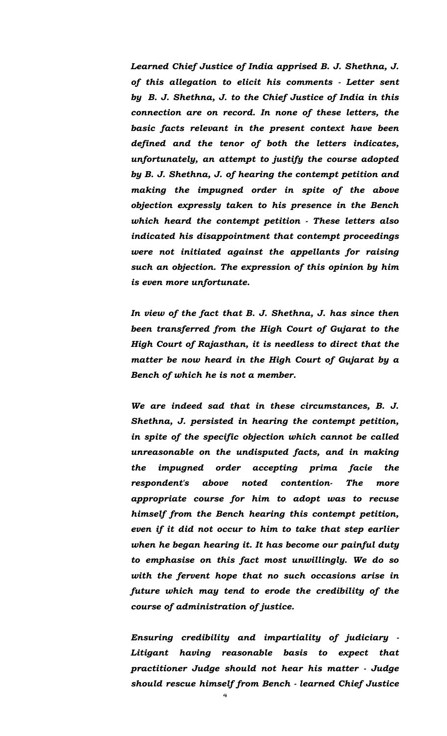*Learned Chief Justice of India apprised B. J. Shethna, J. of this allegation to elicit his comments - Letter sent by B. J. Shethna, J. to the Chief Justice of India in this connection are on record. In none of these letters, the basic facts relevant in the present context have been defined and the tenor of both the letters indicates, unfortunately, an attempt to justify the course adopted by B. J. Shethna, J. of hearing the contempt petition and making the impugned order in spite of the above objection expressly taken to his presence in the Bench which heard the contempt petition - These letters also indicated his disappointment that contempt proceedings were not initiated against the appellants for raising such an objection. The expression of this opinion by him is even more unfortunate.*

*In view of the fact that B. J. Shethna, J. has since then been transferred from the High Court of Gujarat to the High Court of Rajasthan, it is needless to direct that the matter be now heard in the High Court of Gujarat by a Bench of which he is not a member.*

*We are indeed sad that in these circumstances, B. J. Shethna, J. persisted in hearing the contempt petition, in spite of the specific objection which cannot be called unreasonable on the undisputed facts, and in making the impugned order accepting prima facie the respondent's above noted contention- The more appropriate course for him to adopt was to recuse himself from the Bench hearing this contempt petition, even if it did not occur to him to take that step earlier when he began hearing it. It has become our painful duty to emphasise on this fact most unwillingly. We do so with the fervent hope that no such occasions arise in future which may tend to erode the credibility of the course of administration of justice.*

*Ensuring credibility and impartiality of judiciary - Litigant having reasonable basis to expect that practitioner Judge should not hear his matter - Judge should rescue himself from Bench - learned Chief Justice*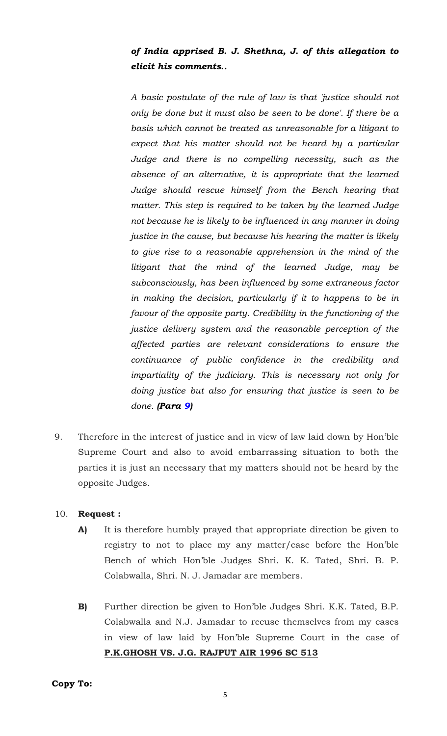## *of India apprised B. J. Shethna, J. of this allegation to elicit his comments..*

*A basic postulate of the rule of law is that 'justice should not only be done but it must also be seen to be done'. If there be a basis which cannot be treated as unreasonable for a litigant to expect that his matter should not be heard by a particular Judge and there is no compelling necessity, such as the absence of an alternative, it is appropriate that the learned Judge should rescue himself from the Bench hearing that matter. This step is required to be taken by the learned Judge not because he is likely to be influenced in any manner in doing justice in the cause, but because his hearing the matter is likely to give rise to a reasonable apprehension in the mind of the litigant that the mind of the learned Judge, may be subconsciously, has been influenced by some extraneous factor in making the decision, particularly if it to happens to be in favour of the opposite party. Credibility in the functioning of the justice delivery system and the reasonable perception of the affected parties are relevant considerations to ensure the continuance of public confidence in the credibility and impartiality of the judiciary. This is necessary not only for doing justice but also for ensuring that justice is seen to be done. (Para 9)*

9. Therefore in the interest of justice and in view of law laid down by Hon'ble Supreme Court and also to avoid embarrassing situation to both the parties it is just an necessary that my matters should not be heard by the opposite Judges.

#### 10. **Request :**

- **A)** It is therefore humbly prayed that appropriate direction be given to registry to not to place my any matter/case before the Hon'ble Bench of which Hon'ble Judges Shri. K. K. Tated, Shri. B. P. Colabwalla, Shri. N. J. Jamadar are members.
- **B)** Further direction be given to Hon'ble Judges Shri. K.K. Tated, B.P. Colabwalla and N.J. Jamadar to recuse themselves from my cases in view of law laid by Hon'ble Supreme Court in the case of **P.K.GHOSH VS. J.G. RAJPUT AIR 1996 SC 513**